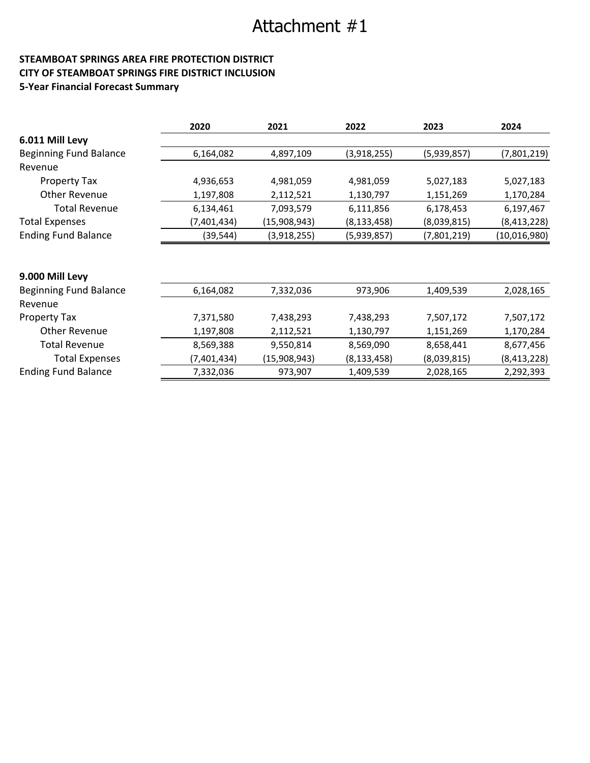# Attachment #1

# STEAMBOAT SPRINGS AREA FIRE PROTECTION DISTRICT CITY OF STEAMBOAT SPRINGS FIRE DISTRICT INCLUSION 5-Year Financial Forecast Summary

|                               | 2020        | 2021         | 2022          | 2023        | 2024          |
|-------------------------------|-------------|--------------|---------------|-------------|---------------|
| 6.011 Mill Levy               |             |              |               |             |               |
| <b>Beginning Fund Balance</b> | 6,164,082   | 4,897,109    | (3,918,255)   | (5,939,857) | (7,801,219)   |
| Revenue                       |             |              |               |             |               |
| <b>Property Tax</b>           | 4,936,653   | 4,981,059    | 4,981,059     | 5,027,183   | 5,027,183     |
| <b>Other Revenue</b>          | 1,197,808   | 2,112,521    | 1,130,797     | 1,151,269   | 1,170,284     |
| <b>Total Revenue</b>          | 6,134,461   | 7,093,579    | 6,111,856     | 6,178,453   | 6,197,467     |
| <b>Total Expenses</b>         | (7,401,434) | (15,908,943) | (8, 133, 458) | (8,039,815) | (8, 413, 228) |
| <b>Ending Fund Balance</b>    | (39, 544)   | (3,918,255)  | (5,939,857)   | (7,801,219) | (10,016,980)  |
|                               |             |              |               |             |               |
| 9.000 Mill Levy               |             |              |               |             |               |
| <b>Beginning Fund Balance</b> | 6,164,082   | 7,332,036    | 973,906       | 1,409,539   | 2,028,165     |
| Revenue                       |             |              |               |             |               |
| <b>Property Tax</b>           | 7,371,580   | 7,438,293    | 7,438,293     | 7,507,172   | 7,507,172     |
| Other Revenue                 | 1,197,808   | 2,112,521    | 1,130,797     | 1,151,269   | 1,170,284     |
| <b>Total Revenue</b>          | 8,569,388   | 9,550,814    | 8,569,090     | 8,658,441   | 8,677,456     |
| <b>Total Expenses</b>         | (7,401,434) | (15,908,943) | (8, 133, 458) | (8,039,815) | (8, 413, 228) |
| <b>Ending Fund Balance</b>    | 7,332,036   | 973,907      | 1,409,539     | 2,028,165   | 2,292,393     |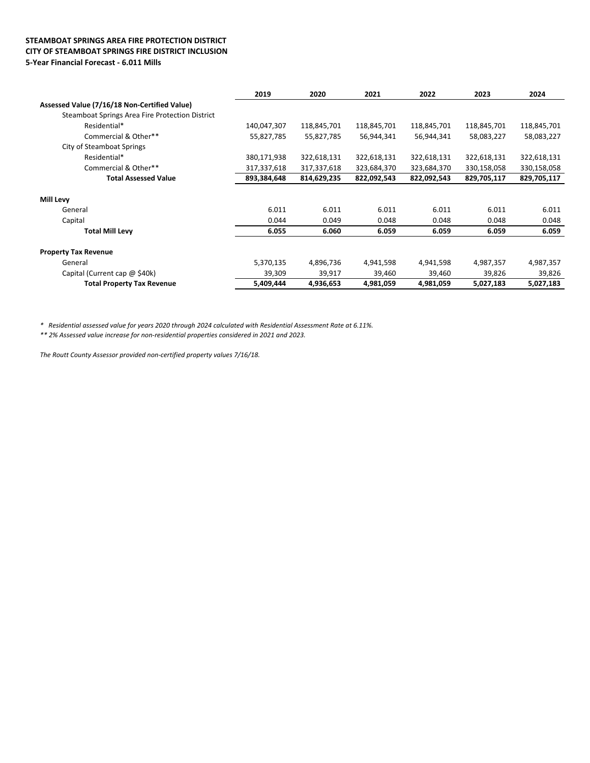#### STEAMBOAT SPRINGS AREA FIRE PROTECTION DISTRICT CITY OF STEAMBOAT SPRINGS FIRE DISTRICT INCLUSION 5-Year Financial Forecast - 6.011 Mills

|                                                 | 2019        | 2020        | 2021        | 2022        | 2023        | 2024        |
|-------------------------------------------------|-------------|-------------|-------------|-------------|-------------|-------------|
| Assessed Value (7/16/18 Non-Certified Value)    |             |             |             |             |             |             |
| Steamboat Springs Area Fire Protection District |             |             |             |             |             |             |
| Residential*                                    | 140,047,307 | 118,845,701 | 118,845,701 | 118,845,701 | 118,845,701 | 118,845,701 |
| Commercial & Other**                            | 55,827,785  | 55,827,785  | 56,944,341  | 56,944,341  | 58,083,227  | 58,083,227  |
| City of Steamboat Springs                       |             |             |             |             |             |             |
| Residential*                                    | 380,171,938 | 322,618,131 | 322,618,131 | 322,618,131 | 322,618,131 | 322,618,131 |
| Commercial & Other**                            | 317,337,618 | 317,337,618 | 323,684,370 | 323,684,370 | 330,158,058 | 330,158,058 |
| <b>Total Assessed Value</b>                     | 893,384,648 | 814,629,235 | 822,092,543 | 822,092,543 | 829,705,117 | 829,705,117 |
| <b>Mill Levy</b>                                |             |             |             |             |             |             |
| General                                         | 6.011       | 6.011       | 6.011       | 6.011       | 6.011       | 6.011       |
| Capital                                         | 0.044       | 0.049       | 0.048       | 0.048       | 0.048       | 0.048       |
| <b>Total Mill Levy</b>                          | 6.055       | 6.060       | 6.059       | 6.059       | 6.059       | 6.059       |
| <b>Property Tax Revenue</b>                     |             |             |             |             |             |             |
| General                                         | 5,370,135   | 4,896,736   | 4,941,598   | 4,941,598   | 4,987,357   | 4,987,357   |
| Capital (Current cap $\omega$ \$40k)            | 39,309      | 39,917      | 39,460      | 39,460      | 39,826      | 39,826      |
| <b>Total Property Tax Revenue</b>               | 5,409,444   | 4,936,653   | 4,981,059   | 4,981,059   | 5,027,183   | 5,027,183   |

\* Residential assessed value for years 2020 through 2024 calculated with Residential Assessment Rate at 6.11%.

\*\* 2% Assessed value increase for non-residential properties considered in 2021 and 2023.

The Routt County Assessor provided non-certified property values 7/16/18.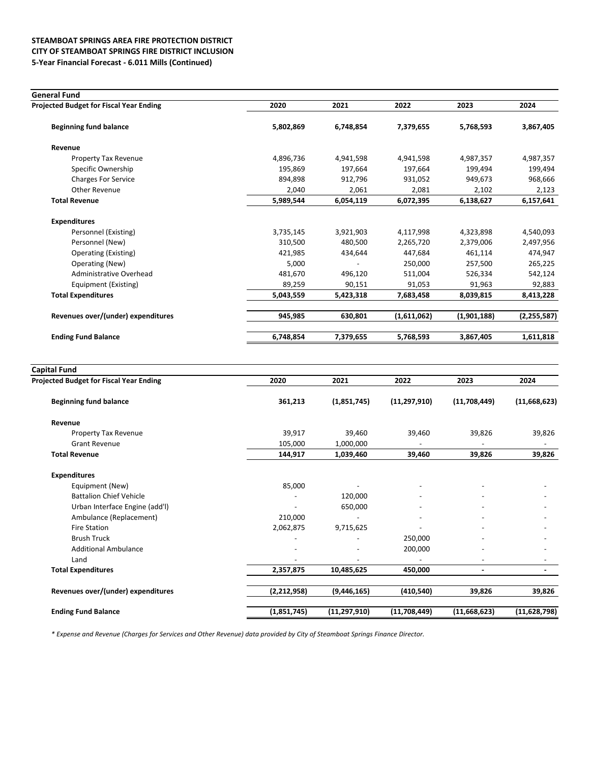## STEAMBOAT SPRINGS AREA FIRE PROTECTION DISTRICT CITY OF STEAMBOAT SPRINGS FIRE DISTRICT INCLUSION 5-Year Financial Forecast - 6.011 Mills (Continued)

| <b>General Fund</b>                     |           |           |             |             |               |
|-----------------------------------------|-----------|-----------|-------------|-------------|---------------|
| Projected Budget for Fiscal Year Ending | 2020      | 2021      | 2022        | 2023        | 2024          |
| <b>Beginning fund balance</b>           | 5,802,869 | 6,748,854 | 7,379,655   | 5,768,593   | 3,867,405     |
| Revenue                                 |           |           |             |             |               |
| Property Tax Revenue                    | 4,896,736 | 4,941,598 | 4,941,598   | 4,987,357   | 4,987,357     |
| Specific Ownership                      | 195,869   | 197,664   | 197,664     | 199,494     | 199,494       |
| <b>Charges For Service</b>              | 894,898   | 912,796   | 931,052     | 949,673     | 968,666       |
| Other Revenue                           | 2,040     | 2,061     | 2,081       | 2,102       | 2,123         |
| <b>Total Revenue</b>                    | 5,989,544 | 6,054,119 | 6,072,395   | 6,138,627   | 6,157,641     |
| <b>Expenditures</b>                     |           |           |             |             |               |
| Personnel (Existing)                    | 3,735,145 | 3,921,903 | 4,117,998   | 4,323,898   | 4,540,093     |
| Personnel (New)                         | 310,500   | 480,500   | 2,265,720   | 2,379,006   | 2,497,956     |
| Operating (Existing)                    | 421,985   | 434,644   | 447,684     | 461,114     | 474,947       |
| Operating (New)                         | 5,000     |           | 250,000     | 257,500     | 265,225       |
| Administrative Overhead                 | 481,670   | 496.120   | 511,004     | 526,334     | 542,124       |
| Equipment (Existing)                    | 89,259    | 90,151    | 91,053      | 91,963      | 92,883        |
| <b>Total Expenditures</b>               | 5,043,559 | 5,423,318 | 7,683,458   | 8,039,815   | 8,413,228     |
| Revenues over/(under) expenditures      | 945,985   | 630,801   | (1,611,062) | (1,901,188) | (2, 255, 587) |
| <b>Ending Fund Balance</b>              | 6,748,854 | 7,379,655 | 5,768,593   | 3,867,405   | 1,611,818     |

| <b>Capital Fund</b>                            |             |                          |                          |                              |                |
|------------------------------------------------|-------------|--------------------------|--------------------------|------------------------------|----------------|
| <b>Projected Budget for Fiscal Year Ending</b> | 2020        | 2021                     | 2022                     | 2023                         | 2024           |
| <b>Beginning fund balance</b>                  | 361,213     | (1,851,745)              | (11, 297, 910)           | (11,708,449)                 | (11,668,623)   |
| Revenue                                        |             |                          |                          |                              |                |
| Property Tax Revenue                           | 39,917      | 39,460                   | 39,460                   | 39,826                       | 39,826         |
| <b>Grant Revenue</b>                           | 105,000     | 1,000,000                |                          |                              |                |
| <b>Total Revenue</b>                           | 144,917     | 1,039,460                | 39,460                   | 39,826                       | 39,826         |
| <b>Expenditures</b>                            |             |                          |                          |                              |                |
| Equipment (New)                                | 85,000      |                          |                          |                              |                |
| <b>Battalion Chief Vehicle</b>                 |             | 120,000                  |                          |                              |                |
| Urban Interface Engine (add'l)                 |             | 650,000                  |                          |                              |                |
| Ambulance (Replacement)                        | 210,000     |                          |                          |                              |                |
| <b>Fire Station</b>                            | 2,062,875   | 9,715,625                | $\overline{\phantom{a}}$ | $\overline{\phantom{0}}$     |                |
| <b>Brush Truck</b>                             |             |                          | 250,000                  |                              |                |
| <b>Additional Ambulance</b>                    |             | $\overline{\phantom{a}}$ | 200,000                  |                              |                |
| Land                                           |             |                          |                          |                              |                |
| <b>Total Expenditures</b>                      | 2,357,875   | 10,485,625               | 450,000                  | $\qquad \qquad \blacksquare$ |                |
| Revenues over/(under) expenditures             | (2,212,958) | (9,446,165)              | (410, 540)               | 39,826                       | 39,826         |
| <b>Ending Fund Balance</b>                     | (1,851,745) | (11, 297, 910)           | (11,708,449)             | (11,668,623)                 | (11, 628, 798) |

\* Expense and Revenue (Charges for Services and Other Revenue) data provided by City of Steamboat Springs Finance Director.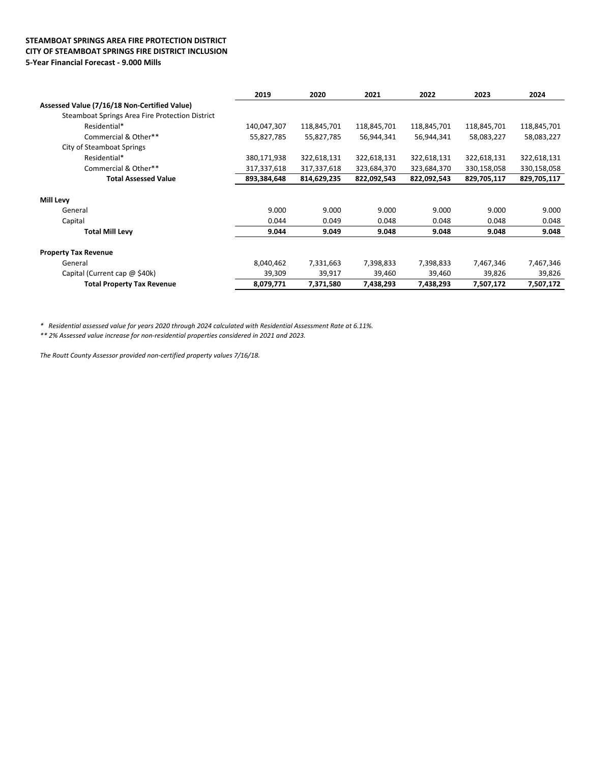#### STEAMBOAT SPRINGS AREA FIRE PROTECTION DISTRICT CITY OF STEAMBOAT SPRINGS FIRE DISTRICT INCLUSION 5-Year Financial Forecast - 9.000 Mills

|                                                 | 2019        | 2020        | 2021        | 2022        | 2023        | 2024        |
|-------------------------------------------------|-------------|-------------|-------------|-------------|-------------|-------------|
| Assessed Value (7/16/18 Non-Certified Value)    |             |             |             |             |             |             |
| Steamboat Springs Area Fire Protection District |             |             |             |             |             |             |
| Residential*                                    | 140,047,307 | 118,845,701 | 118,845,701 | 118,845,701 | 118,845,701 | 118,845,701 |
| Commercial & Other**                            | 55,827,785  | 55,827,785  | 56,944,341  | 56,944,341  | 58,083,227  | 58,083,227  |
| City of Steamboat Springs                       |             |             |             |             |             |             |
| Residential*                                    | 380,171,938 | 322,618,131 | 322,618,131 | 322,618,131 | 322,618,131 | 322,618,131 |
| Commercial & Other**                            | 317,337,618 | 317,337,618 | 323,684,370 | 323,684,370 | 330,158,058 | 330,158,058 |
| <b>Total Assessed Value</b>                     | 893,384,648 | 814,629,235 | 822,092,543 | 822,092,543 | 829,705,117 | 829,705,117 |
| <b>Mill Levy</b>                                |             |             |             |             |             |             |
| General                                         | 9.000       | 9.000       | 9.000       | 9.000       | 9.000       | 9.000       |
| Capital                                         | 0.044       | 0.049       | 0.048       | 0.048       | 0.048       | 0.048       |
| <b>Total Mill Levy</b>                          | 9.044       | 9.049       | 9.048       | 9.048       | 9.048       | 9.048       |
| <b>Property Tax Revenue</b>                     |             |             |             |             |             |             |
| General                                         | 8,040,462   | 7,331,663   | 7,398,833   | 7,398,833   | 7,467,346   | 7,467,346   |
| Capital (Current cap $@$ \$40k)                 | 39,309      | 39,917      | 39,460      | 39,460      | 39,826      | 39,826      |
| <b>Total Property Tax Revenue</b>               | 8,079,771   | 7,371,580   | 7,438,293   | 7,438,293   | 7,507,172   | 7,507,172   |

\* Residential assessed value for years 2020 through 2024 calculated with Residential Assessment Rate at 6.11%.

\*\* 2% Assessed value increase for non-residential properties considered in 2021 and 2023.

The Routt County Assessor provided non-certified property values 7/16/18.